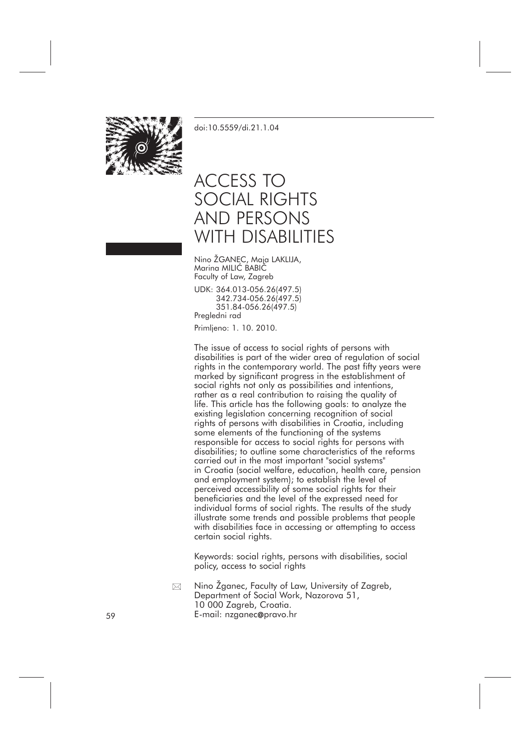

[doi:10.5559/di.21.1.04](http://dx.doi.org/10.5559/di.21.1.04)

# ACCESS TO SOCIAL RIGHTS AND PERSONS WITH DISABILITIES

Nino ŽGANEC, Maja LAKLIJA, Marina MILIĆ BABIĆ Faculty of Law, Zagreb

UDK: 364.013-056.26(497.5) 342.734-056.26(497.5) 351.84-056.26(497.5) Pregledni rad

Primljeno: 1. 10. 2010.

The issue of access to social rights of persons with disabilities is part of the wider area of regulation of social rights in the contemporary world. The past fifty years were marked by significant progress in the establishment of social rights not only as possibilities and intentions, rather as a real contribution to raising the quality of life. This article has the following goals: to analyze the existing legislation concerning recognition of social rights of persons with disabilities in Croatia, including some elements of the functioning of the systems responsible for access to social rights for persons with disabilities; to outline some characteristics of the reforms carried out in the most important "social systems" in Croatia (social welfare, education, health care, pension and employment system); to establish the level of perceived accessibility of some social rights for their beneficiaries and the level of the expressed need for individual forms of social rights. The results of the study illustrate some trends and possible problems that people with disabilities face in accessing or attempting to access certain social rights.

Keywords: social rights, persons with disabilities, social policy, access to social rights

Nino Žganec, Faculty of Law, University of Zagreb, Department of Social Work, Nazorova 51, 10 000 Zagreb, Croatia. 59 E-mail: nzganec**@**pravo.hr  $\boxtimes$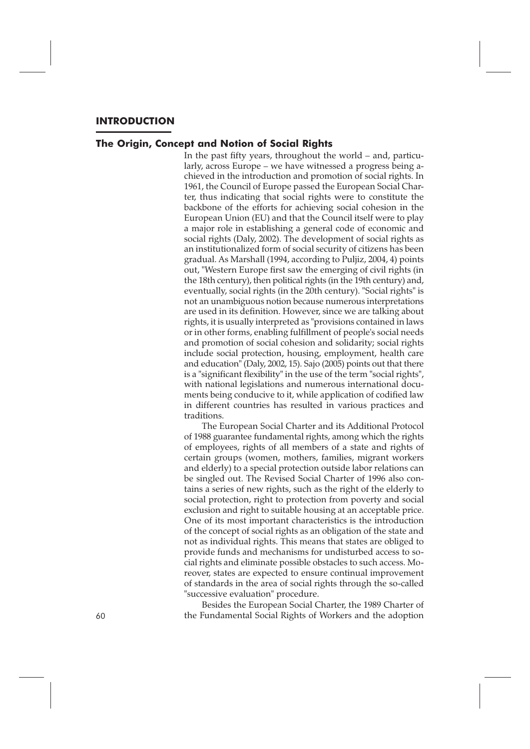#### **INTRODUCTION**

#### **The Origin, Concept and Notion of Social Rights**

In the past fifty years, throughout the world – and, particularly, across Europe – we have witnessed a progress being achieved in the introduction and promotion of social rights. In 1961, the Council of Europe passed the European Social Charter, thus indicating that social rights were to constitute the backbone of the efforts for achieving social cohesion in the European Union (EU) and that the Council itself were to play a major role in establishing a general code of economic and social rights (Daly, 2002). The development of social rights as an institutionalized form of social security of citizens has been gradual. As Marshall (1994, according to Puljiz, 2004, 4) points out, "Western Europe first saw the emerging of civil rights (in the 18th century), then political rights (in the 19th century) and, eventually, social rights (in the 20th century). "Social rights" is not an unambiguous notion because numerous interpretations are used in its definition. However, since we are talking about rights, it is usually interpreted as "provisions contained in laws or in other forms, enabling fulfillment of people's social needs and promotion of social cohesion and solidarity; social rights include social protection, housing, employment, health care and education" (Daly, 2002, 15). Sajo (2005) points out that there is a "significant flexibility" in the use of the term "social rights", with national legislations and numerous international documents being conducive to it, while application of codified law in different countries has resulted in various practices and traditions.

The European Social Charter and its Additional Protocol of 1988 guarantee fundamental rights, among which the rights of employees, rights of all members of a state and rights of certain groups (women, mothers, families, migrant workers and elderly) to a special protection outside labor relations can be singled out. The Revised Social Charter of 1996 also contains a series of new rights, such as the right of the elderly to social protection, right to protection from poverty and social exclusion and right to suitable housing at an acceptable price. One of its most important characteristics is the introduction of the concept of social rights as an obligation of the state and not as individual rights. This means that states are obliged to provide funds and mechanisms for undisturbed access to social rights and eliminate possible obstacles to such access. Moreover, states are expected to ensure continual improvement of standards in the area of social rights through the so-called "successive evaluation" procedure.

Besides the European Social Charter, the 1989 Charter of 60 the Fundamental Social Rights of Workers and the adoption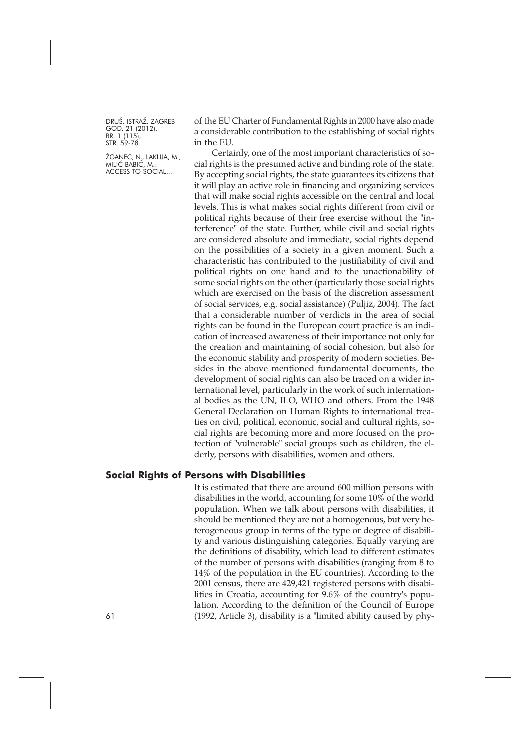ŽGANEC, N., LAKLIJA, M., MILIĆ BABIĆ, M.: ACCESS TO SOCIAL...

of the EU Charter of Fundamental Rights in 2000 have also made a considerable contribution to the establishing of social rights in the EU.

Certainly, one of the most important characteristics of social rights is the presumed active and binding role of the state. By accepting social rights, the state guarantees its citizens that it will play an active role in financing and organizing services that will make social rights accessible on the central and local levels. This is what makes social rights different from civil or political rights because of their free exercise without the "interference" of the state. Further, while civil and social rights are considered absolute and immediate, social rights depend on the possibilities of a society in a given moment. Such a characteristic has contributed to the justifiability of civil and political rights on one hand and to the unactionability of some social rights on the other (particularly those social rights which are exercised on the basis of the discretion assessment of social services, e.g. social assistance) (Puljiz, 2004). The fact that a considerable number of verdicts in the area of social rights can be found in the European court practice is an indication of increased awareness of their importance not only for the creation and maintaining of social cohesion, but also for the economic stability and prosperity of modern societies. Besides in the above mentioned fundamental documents, the development of social rights can also be traced on a wider international level, particularly in the work of such international bodies as the UN, ILO, WHO and others. From the 1948 General Declaration on Human Rights to international treaties on civil, political, economic, social and cultural rights, social rights are becoming more and more focused on the protection of "vulnerable" social groups such as children, the elderly, persons with disabilities, women and others.

#### **Social Rights of Persons with Disabilities**

It is estimated that there are around 600 million persons with disabilities in the world, accounting for some 10% of the world population. When we talk about persons with disabilities, it should be mentioned they are not a homogenous, but very heterogeneous group in terms of the type or degree of disability and various distinguishing categories. Equally varying are the definitions of disability, which lead to different estimates of the number of persons with disabilities (ranging from 8 to 14% of the population in the EU countries). According to the 2001 census, there are 429,421 registered persons with disabilities in Croatia, accounting for 9.6% of the country's population. According to the definition of the Council of Europe 61 (1992, Article 3), disability is a "limited ability caused by phy-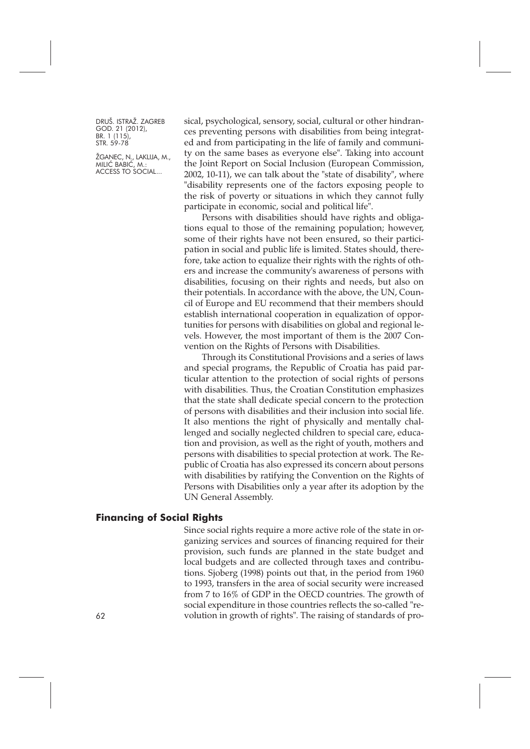ŽGANEC, N., LAKLIJA, M., MILIĆ BABIĆ, M.: ACCESS TO SOCIAL...

sical, psychological, sensory, social, cultural or other hindrances preventing persons with disabilities from being integrated and from participating in the life of family and community on the same bases as everyone else". Taking into account the Joint Report on Social Inclusion (European Commission, 2002, 10-11), we can talk about the "state of disability", where "disability represents one of the factors exposing people to the risk of poverty or situations in which they cannot fully participate in economic, social and political life".

Persons with disabilities should have rights and obligations equal to those of the remaining population; however, some of their rights have not been ensured, so their participation in social and public life is limited. States should, therefore, take action to equalize their rights with the rights of others and increase the community's awareness of persons with disabilities, focusing on their rights and needs, but also on their potentials. In accordance with the above, the UN, Council of Europe and EU recommend that their members should establish international cooperation in equalization of opportunities for persons with disabilities on global and regional levels. However, the most important of them is the 2007 Convention on the Rights of Persons with Disabilities.

Through its Constitutional Provisions and a series of laws and special programs, the Republic of Croatia has paid particular attention to the protection of social rights of persons with disabilities. Thus, the Croatian Constitution emphasizes that the state shall dedicate special concern to the protection of persons with disabilities and their inclusion into social life. It also mentions the right of physically and mentally challenged and socially neglected children to special care, education and provision, as well as the right of youth, mothers and persons with disabilities to special protection at work. The Republic of Croatia has also expressed its concern about persons with disabilities by ratifying the Convention on the Rights of Persons with Disabilities only a year after its adoption by the UN General Assembly.

#### **Financing of Social Rights**

Since social rights require a more active role of the state in organizing services and sources of financing required for their provision, such funds are planned in the state budget and local budgets and are collected through taxes and contributions. Sjoberg (1998) points out that, in the period from 1960 to 1993, transfers in the area of social security were increased from 7 to 16% of GDP in the OECD countries. The growth of social expenditure in those countries reflects the so-called "re-62 volution in growth of rights". The raising of standards of pro-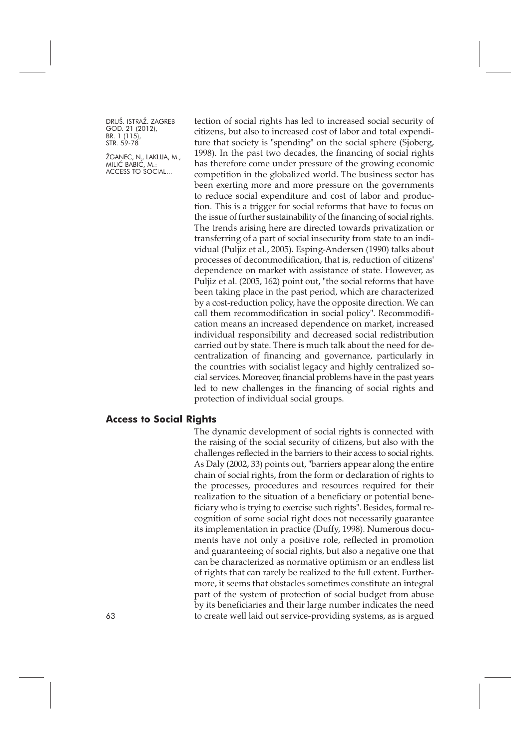ŽGANEC, N., LAKLIJA, M., MILIĆ BABIĆ, M.: ACCESS TO SOCIAL...

tection of social rights has led to increased social security of citizens, but also to increased cost of labor and total expenditure that society is "spending" on the social sphere (Sjoberg, 1998). In the past two decades, the financing of social rights has therefore come under pressure of the growing economic competition in the globalized world. The business sector has been exerting more and more pressure on the governments to reduce social expenditure and cost of labor and production. This is a trigger for social reforms that have to focus on the issue of further sustainability of the financing of social rights. The trends arising here are directed towards privatization or transferring of a part of social insecurity from state to an individual (Puljiz et al., 2005). Esping-Andersen (1990) talks about processes of decommodification, that is, reduction of citizens' dependence on market with assistance of state. However, as Puljiz et al. (2005, 162) point out, "the social reforms that have been taking place in the past period, which are characterized by a cost-reduction policy, have the opposite direction. We can call them recommodification in social policy". Recommodification means an increased dependence on market, increased individual responsibility and decreased social redistribution carried out by state. There is much talk about the need for decentralization of financing and governance, particularly in the countries with socialist legacy and highly centralized social services. Moreover, financial problems have in the past years led to new challenges in the financing of social rights and protection of individual social groups.

#### **Access to Social Rights**

The dynamic development of social rights is connected with the raising of the social security of citizens, but also with the challenges reflected in the barriers to their access to social rights. As Daly (2002, 33) points out, "barriers appear along the entire chain of social rights, from the form or declaration of rights to the processes, procedures and resources required for their realization to the situation of a beneficiary or potential beneficiary who is trying to exercise such rights". Besides, formal recognition of some social right does not necessarily guarantee its implementation in practice (Duffy, 1998). Numerous documents have not only a positive role, reflected in promotion and guaranteeing of social rights, but also a negative one that can be characterized as normative optimism or an endless list of rights that can rarely be realized to the full extent. Furthermore, it seems that obstacles sometimes constitute an integral part of the system of protection of social budget from abuse by its beneficiaries and their large number indicates the need 63 to create well laid out service-providing systems, as is argued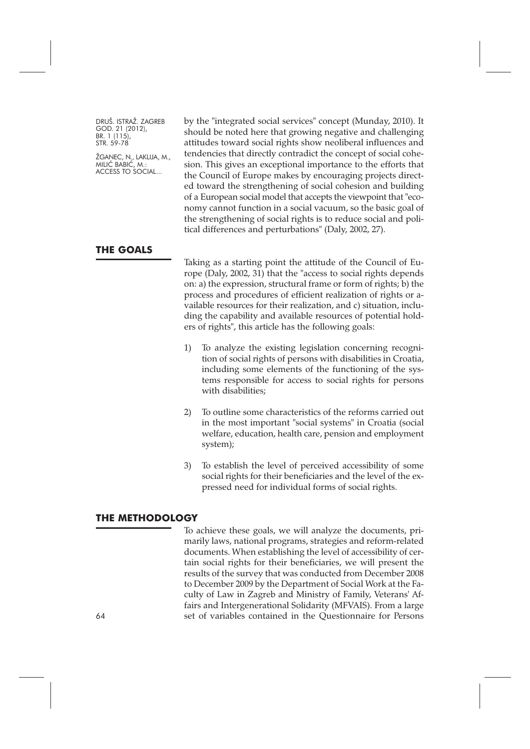ŽGANEC, N., LAKLIJA, M., MILIĆ BABIĆ, M.: ACCESS TO SOCIAL...

by the "integrated social services" concept (Munday, 2010). It should be noted here that growing negative and challenging attitudes toward social rights show neoliberal influences and tendencies that directly contradict the concept of social cohesion. This gives an exceptional importance to the efforts that the Council of Europe makes by encouraging projects directed toward the strengthening of social cohesion and building of a European social model that accepts the viewpoint that "economy cannot function in a social vacuum, so the basic goal of the strengthening of social rights is to reduce social and political differences and perturbations" (Daly, 2002, 27).

# **THE GOALS**

Taking as a starting point the attitude of the Council of Europe (Daly, 2002, 31) that the "access to social rights depends on: a) the expression, structural frame or form of rights; b) the process and procedures of efficient realization of rights or available resources for their realization, and c) situation, including the capability and available resources of potential holders of rights", this article has the following goals:

- 1) To analyze the existing legislation concerning recognition of social rights of persons with disabilities in Croatia, including some elements of the functioning of the systems responsible for access to social rights for persons with disabilities;
- 2) To outline some characteristics of the reforms carried out in the most important "social systems" in Croatia (social welfare, education, health care, pension and employment system);
- 3) To establish the level of perceived accessibility of some social rights for their beneficiaries and the level of the expressed need for individual forms of social rights.

#### **THE METHODOLOGY**

To achieve these goals, we will analyze the documents, primarily laws, national programs, strategies and reform-related documents. When establishing the level of accessibility of certain social rights for their beneficiaries, we will present the results of the survey that was conducted from December 2008 to December 2009 by the Department of Social Work at the Faculty of Law in Zagreb and Ministry of Family, Veterans' Affairs and Intergenerational Solidarity (MFVAIS). From a large 64 set of variables contained in the Questionnaire for Persons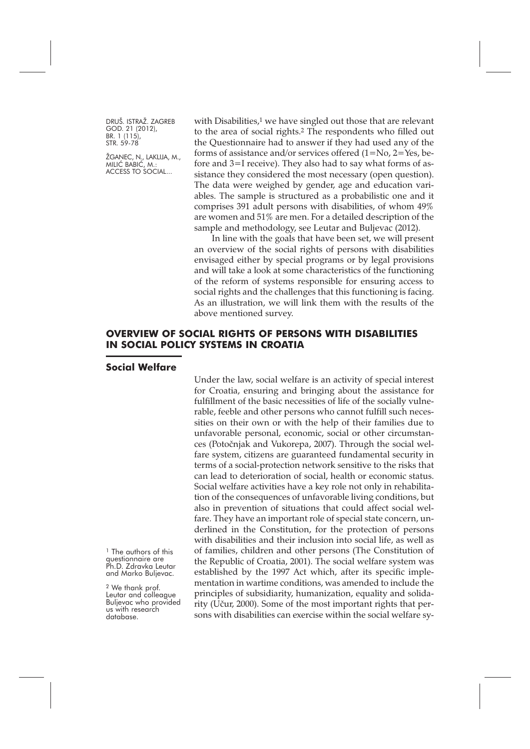ŽGANEC, N., LAKLIJA, M., MILIĆ BABIĆ, M.: ACCESS TO SOCIAL...

with Disabilities,<sup>1</sup> we have singled out those that are relevant to the area of social rights.2 The respondents who filled out the Questionnaire had to answer if they had used any of the forms of assistance and/or services offered  $(1=N_0, 2=N_0, 2N_0)$ fore and 3=I receive). They also had to say what forms of assistance they considered the most necessary (open question). The data were weighed by gender, age and education variables. The sample is structured as a probabilistic one and it comprises 391 adult persons with disabilities, of whom 49% are women and 51% are men. For a detailed description of the sample and methodology, see Leutar and Buljevac (2012).

In line with the goals that have been set, we will present an overview of the social rights of persons with disabilities envisaged either by special programs or by legal provisions and will take a look at some characteristics of the functioning of the reform of systems responsible for ensuring access to social rights and the challenges that this functioning is facing. As an illustration, we will link them with the results of the above mentioned survey.

#### **OVERVIEW OF SOCIAL RIGHTS OF PERSONS WITH DISABILITIES IN SOCIAL POLICY SYSTEMS IN CROATIA**

#### **Social Welfare**

<sup>1</sup> The authors of this questionnaire are Ph.D. Zdravka Leutar and Marko Buljevac.

<sup>2</sup> We thank prof. Leutar and colleague Buljevac who provided us with research database.

Under the law, social welfare is an activity of special interest for Croatia, ensuring and bringing about the assistance for fulfillment of the basic necessities of life of the socially vulnerable, feeble and other persons who cannot fulfill such necessities on their own or with the help of their families due to unfavorable personal, economic, social or other circumstances (Potočnjak and Vukorepa, 2007). Through the social welfare system, citizens are guaranteed fundamental security in terms of a social-protection network sensitive to the risks that can lead to deterioration of social, health or economic status. Social welfare activities have a key role not only in rehabilitation of the consequences of unfavorable living conditions, but also in prevention of situations that could affect social welfare. They have an important role of special state concern, underlined in the Constitution, for the protection of persons with disabilities and their inclusion into social life, as well as of families, children and other persons (The Constitution of the Republic of Croatia, 2001). The social welfare system was established by the 1997 Act which, after its specific implementation in wartime conditions, was amended to include the principles of subsidiarity, humanization, equality and solidarity (Učur, 2000). Some of the most important rights that persons with disabilities can exercise within the social welfare sy-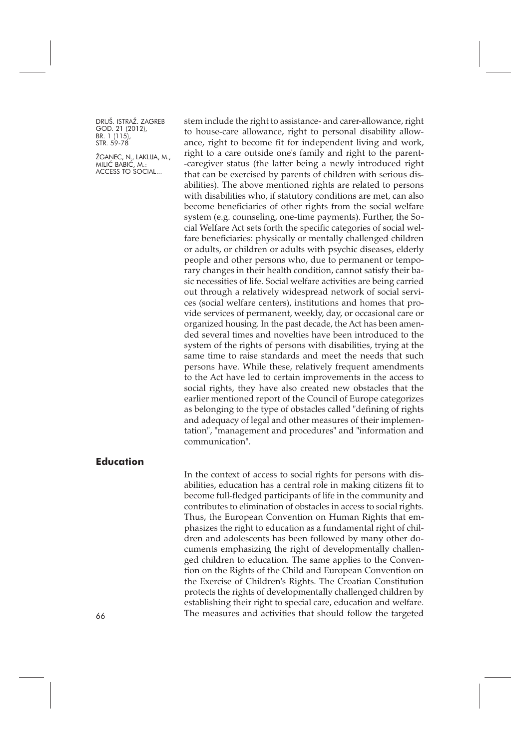ŽGANEC, N., LAKLIJA, M., MILIĆ BABIĆ, M.: ACCESS TO SOCIAL...

stem include the right to assistance- and carer-allowance, right to house-care allowance, right to personal disability allowance, right to become fit for independent living and work, right to a care outside one's family and right to the parent- -caregiver status (the latter being a newly introduced right that can be exercised by parents of children with serious disabilities). The above mentioned rights are related to persons with disabilities who, if statutory conditions are met, can also become beneficiaries of other rights from the social welfare system (e.g. counseling, one-time payments). Further, the Social Welfare Act sets forth the specific categories of social welfare beneficiaries: physically or mentally challenged children or adults, or children or adults with psychic diseases, elderly people and other persons who, due to permanent or temporary changes in their health condition, cannot satisfy their basic necessities of life. Social welfare activities are being carried out through a relatively widespread network of social services (social welfare centers), institutions and homes that provide services of permanent, weekly, day, or occasional care or organized housing. In the past decade, the Act has been amended several times and novelties have been introduced to the system of the rights of persons with disabilities, trying at the same time to raise standards and meet the needs that such persons have. While these, relatively frequent amendments to the Act have led to certain improvements in the access to social rights, they have also created new obstacles that the earlier mentioned report of the Council of Europe categorizes as belonging to the type of obstacles called "defining of rights and adequacy of legal and other measures of their implementation", "management and procedures" and "information and communication".

**Education**

In the context of access to social rights for persons with disabilities, education has a central role in making citizens fit to become full-fledged participants of life in the community and contributes to elimination of obstacles in access to social rights. Thus, the European Convention on Human Rights that emphasizes the right to education as a fundamental right of children and adolescents has been followed by many other documents emphasizing the right of developmentally challenged children to education. The same applies to the Convention on the Rights of the Child and European Convention on the Exercise of Children's Rights. The Croatian Constitution protects the rights of developmentally challenged children by establishing their right to special care, education and welfare. 66 The measures and activities that should follow the targeted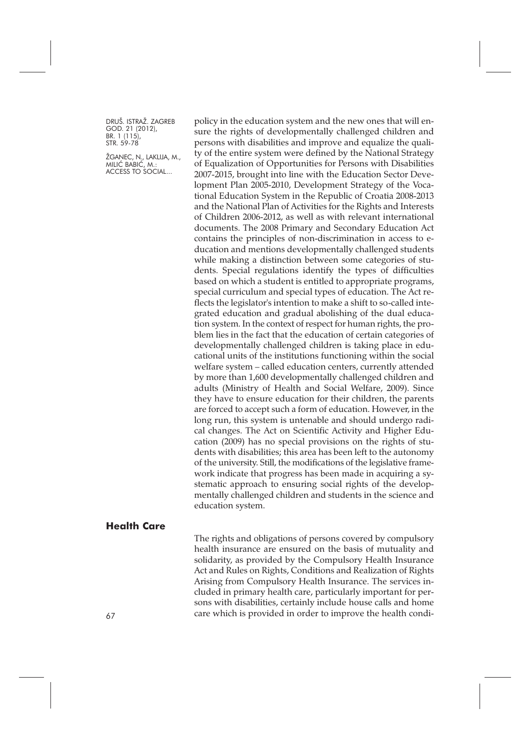ŽGANEC, N., LAKLIJA, M., MILIĆ BABIĆ, M.: ACCESS TO SOCIAL...

policy in the education system and the new ones that will ensure the rights of developmentally challenged children and persons with disabilities and improve and equalize the quality of the entire system were defined by the National Strategy of Equalization of Opportunities for Persons with Disabilities 2007-2015, brought into line with the Education Sector Development Plan 2005-2010, Development Strategy of the Vocational Education System in the Republic of Croatia 2008-2013 and the National Plan of Activities for the Rights and Interests of Children 2006-2012, as well as with relevant international documents. The 2008 Primary and Secondary Education Act contains the principles of non-discrimination in access to education and mentions developmentally challenged students while making a distinction between some categories of students. Special regulations identify the types of difficulties based on which a student is entitled to appropriate programs, special curriculum and special types of education. The Act reflects the legislator's intention to make a shift to so-called integrated education and gradual abolishing of the dual education system. In the context of respect for human rights, the problem lies in the fact that the education of certain categories of developmentally challenged children is taking place in educational units of the institutions functioning within the social welfare system – called education centers, currently attended by more than 1,600 developmentally challenged children and adults (Ministry of Health and Social Welfare, 2009). Since they have to ensure education for their children, the parents are forced to accept such a form of education. However, in the long run, this system is untenable and should undergo radical changes. The Act on Scientific Activity and Higher Education (2009) has no special provisions on the rights of students with disabilities; this area has been left to the autonomy of the university. Still, the modifications of the legislative framework indicate that progress has been made in acquiring a systematic approach to ensuring social rights of the developmentally challenged children and students in the science and education system.

#### **Health Care**

The rights and obligations of persons covered by compulsory health insurance are ensured on the basis of mutuality and solidarity, as provided by the Compulsory Health Insurance Act and Rules on Rights, Conditions and Realization of Rights Arising from Compulsory Health Insurance. The services included in primary health care, particularly important for persons with disabilities, certainly include house calls and home care which is provided in order to improve the health condi- 67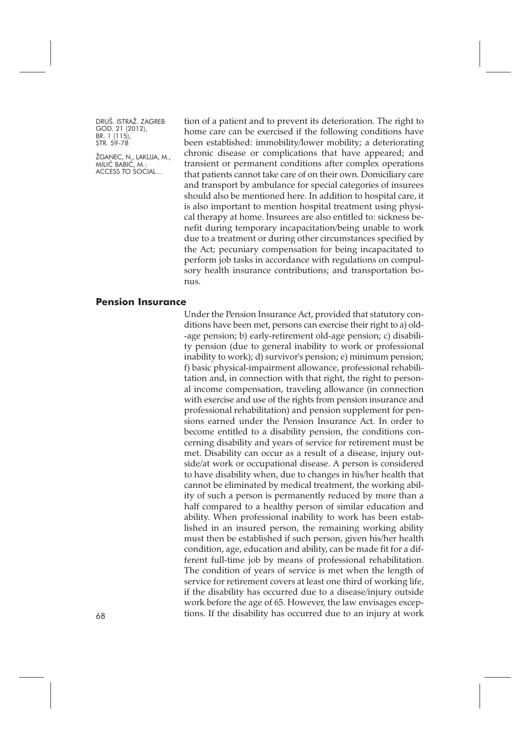ŽGANEC, N., LAKLIJA, M., MILIĆ BABIĆ, M.: ACCESS TO SOCIAL...

tion of a patient and to prevent its deterioration. The right to home care can be exercised if the following conditions have been established: immobility/lower mobility; a deteriorating chronic disease or complications that have appeared; and transient or permanent conditions after complex operations that patients cannot take care of on their own. Domiciliary care and transport by ambulance for special categories of insurees should also be mentioned here. In addition to hospital care, it is also important to mention hospital treatment using physical therapy at home. Insurees are also entitled to: sickness benefit during temporary incapacitation/being unable to work due to a treatment or during other circumstances specified by the Act; pecuniary compensation for being incapacitated to perform job tasks in accordance with regulations on compulsory health insurance contributions; and transportation bonus.

#### **Pension Insurance**

Under the Pension Insurance Act, provided that statutory conditions have been met, persons can exercise their right to a) old- -age pension; b) early-retirement old-age pension; c) disability pension (due to general inability to work or professional inability to work); d) survivor's pension; e) minimum pension; f) basic physical-impairment allowance, professional rehabilitation and, in connection with that right, the right to personal income compensation, traveling allowance (in connection with exercise and use of the rights from pension insurance and professional rehabilitation) and pension supplement for pensions earned under the Pension Insurance Act. In order to become entitled to a disability pension, the conditions concerning disability and years of service for retirement must be met. Disability can occur as a result of a disease, injury outside/at work or occupational disease. A person is considered to have disability when, due to changes in his/her health that cannot be eliminated by medical treatment, the working ability of such a person is permanently reduced by more than a half compared to a healthy person of similar education and ability. When professional inability to work has been established in an insured person, the remaining working ability must then be established if such person, given his/her health condition, age, education and ability, can be made fit for a different full-time job by means of professional rehabilitation. The condition of years of service is met when the length of service for retirement covers at least one third of working life, if the disability has occurred due to a disease/injury outside work before the age of 65. However, the law envisages excep- $\epsilon$  68 tions. If the disability has occurred due to an injury at work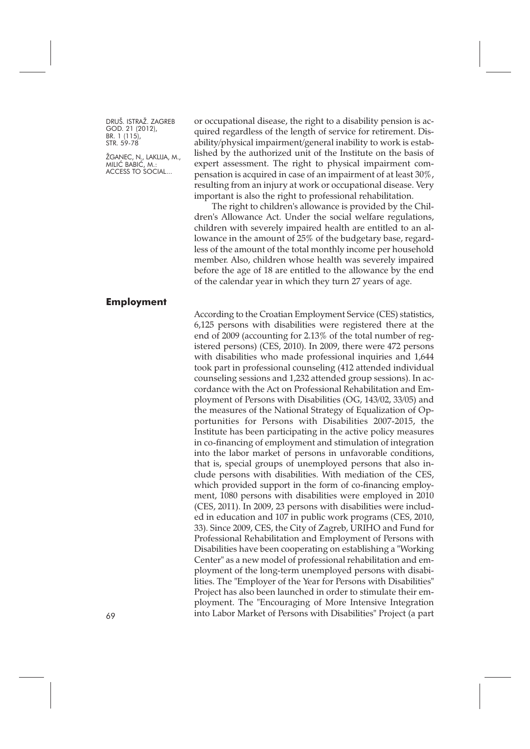ŽGANEC, N., LAKLIJA, M., MILIĆ BABIĆ, M.: ACCESS TO SOCIAL...

or occupational disease, the right to a disability pension is acquired regardless of the length of service for retirement. Disability/physical impairment/general inability to work is established by the authorized unit of the Institute on the basis of expert assessment. The right to physical impairment compensation is acquired in case of an impairment of at least 30%, resulting from an injury at work or occupational disease. Very important is also the right to professional rehabilitation.

The right to children's allowance is provided by the Children's Allowance Act. Under the social welfare regulations, children with severely impaired health are entitled to an allowance in the amount of 25% of the budgetary base, regardless of the amount of the total monthly income per household member. Also, children whose health was severely impaired before the age of 18 are entitled to the allowance by the end of the calendar year in which they turn 27 years of age.

#### **Employment**

According to the Croatian Employment Service (CES) statistics, 6,125 persons with disabilities were registered there at the end of 2009 (accounting for 2.13% of the total number of registered persons) (CES, 2010). In 2009, there were 472 persons with disabilities who made professional inquiries and 1,644 took part in professional counseling (412 attended individual counseling sessions and 1,232 attended group sessions). In accordance with the Act on Professional Rehabilitation and Employment of Persons with Disabilities (OG, 143/02, 33/05) and the measures of the National Strategy of Equalization of Opportunities for Persons with Disabilities 2007-2015, the Institute has been participating in the active policy measures in co-financing of employment and stimulation of integration into the labor market of persons in unfavorable conditions, that is, special groups of unemployed persons that also include persons with disabilities. With mediation of the CES, which provided support in the form of co-financing employment, 1080 persons with disabilities were employed in 2010 (CES, 2011). In 2009, 23 persons with disabilities were included in education and 107 in public work programs (CES, 2010, 33). Since 2009, CES, the City of Zagreb, URIHO and Fund for Professional Rehabilitation and Employment of Persons with Disabilities have been cooperating on establishing a "Working Center" as a new model of professional rehabilitation and employment of the long-term unemployed persons with disabilities. The "Employer of the Year for Persons with Disabilities" Project has also been launched in order to stimulate their employment. The "Encouraging of More Intensive Integration 69 **into Labor Market of Persons with Disabilities**" Project (a part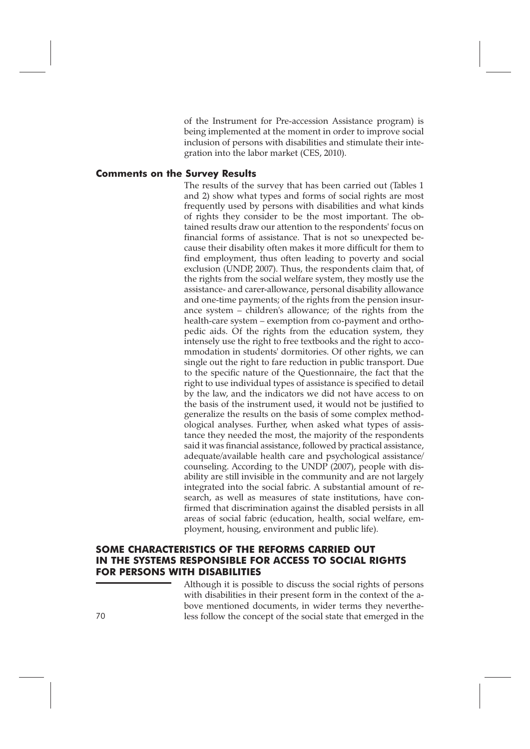of the Instrument for Pre-accession Assistance program) is being implemented at the moment in order to improve social inclusion of persons with disabilities and stimulate their integration into the labor market (CES, 2010).

## **Comments on the Survey Results**

The results of the survey that has been carried out (Tables 1 and 2) show what types and forms of social rights are most frequently used by persons with disabilities and what kinds of rights they consider to be the most important. The obtained results draw our attention to the respondents' focus on financial forms of assistance. That is not so unexpected because their disability often makes it more difficult for them to find employment, thus often leading to poverty and social exclusion (UNDP, 2007). Thus, the respondents claim that, of the rights from the social welfare system, they mostly use the assistance- and carer-allowance, personal disability allowance and one-time payments; of the rights from the pension insurance system – children's allowance; of the rights from the health-care system – exemption from co-payment and orthopedic aids. Of the rights from the education system, they intensely use the right to free textbooks and the right to accommodation in students' dormitories. Of other rights, we can single out the right to fare reduction in public transport. Due to the specific nature of the Questionnaire, the fact that the right to use individual types of assistance is specified to detail by the law, and the indicators we did not have access to on the basis of the instrument used, it would not be justified to generalize the results on the basis of some complex methodological analyses. Further, when asked what types of assistance they needed the most, the majority of the respondents said it was financial assistance, followed by practical assistance, adequate/available health care and psychological assistance/ counseling. According to the UNDP (2007), people with disability are still invisible in the community and are not largely integrated into the social fabric. A substantial amount of research, as well as measures of state institutions, have confirmed that discrimination against the disabled persists in all areas of social fabric (education, health, social welfare, employment, housing, environment and public life).

### **SOME CHARACTERISTICS OF THE REFORMS CARRIED OUT IN THE SYSTEMS RESPONSIBLE FOR ACCESS TO SOCIAL RIGHTS FOR PERSONS WITH DISABILITIES**

Although it is possible to discuss the social rights of persons with disabilities in their present form in the context of the above mentioned documents, in wider terms they neverthe-70 less follow the concept of the social state that emerged in the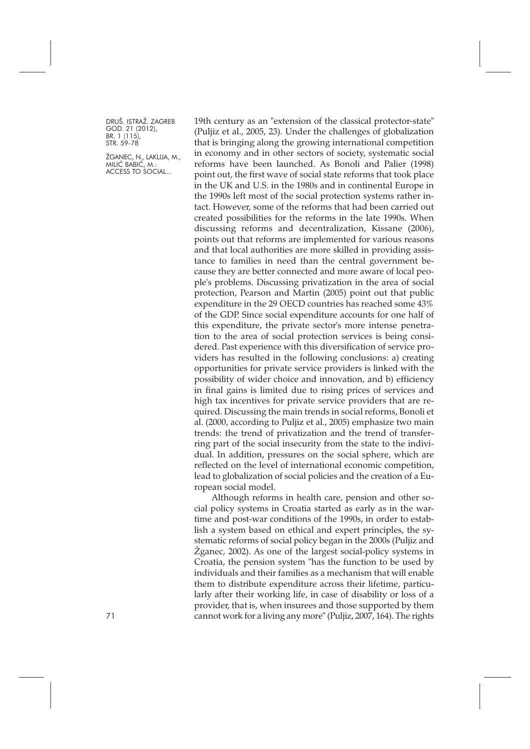ŽGANEC, N., LAKLIJA, M., MILIĆ BABIĆ, M.: ACCESS TO SOCIAL...

19th century as an "extension of the classical protector-state" (Puljiz et al., 2005, 23). Under the challenges of globalization that is bringing along the growing international competition in economy and in other sectors of society, systematic social reforms have been launched. As Bonoli and Palier (1998) point out, the first wave of social state reforms that took place in the UK and U.S. in the 1980s and in continental Europe in the 1990s left most of the social protection systems rather intact. However, some of the reforms that had been carried out created possibilities for the reforms in the late 1990s. When discussing reforms and decentralization, Kissane (2006), points out that reforms are implemented for various reasons and that local authorities are more skilled in providing assistance to families in need than the central government because they are better connected and more aware of local people's problems. Discussing privatization in the area of social protection, Pearson and Martin (2005) point out that public expenditure in the 29 OECD countries has reached some 43% of the GDP. Since social expenditure accounts for one half of this expenditure, the private sector's more intense penetration to the area of social protection services is being considered. Past experience with this diversification of service providers has resulted in the following conclusions: a) creating opportunities for private service providers is linked with the possibility of wider choice and innovation, and b) efficiency in final gains is limited due to rising prices of services and high tax incentives for private service providers that are required. Discussing the main trends in social reforms, Bonoli et al. (2000, according to Puljiz et al., 2005) emphasize two main trends: the trend of privatization and the trend of transferring part of the social insecurity from the state to the individual. In addition, pressures on the social sphere, which are reflected on the level of international economic competition, lead to globalization of social policies and the creation of a European social model.

Although reforms in health care, pension and other social policy systems in Croatia started as early as in the wartime and post-war conditions of the 1990s, in order to establish a system based on ethical and expert principles, the systematic reforms of social policy began in the 2000s (Puljiz and Žganec, 2002). As one of the largest social-policy systems in Croatia, the pension system "has the function to be used by individuals and their families as a mechanism that will enable them to distribute expenditure across their lifetime, particularly after their working life, in case of disability or loss of a provider, that is, when insurees and those supported by them 71 cannot work for a living any more" (Puljiz, 2007, 164). The rights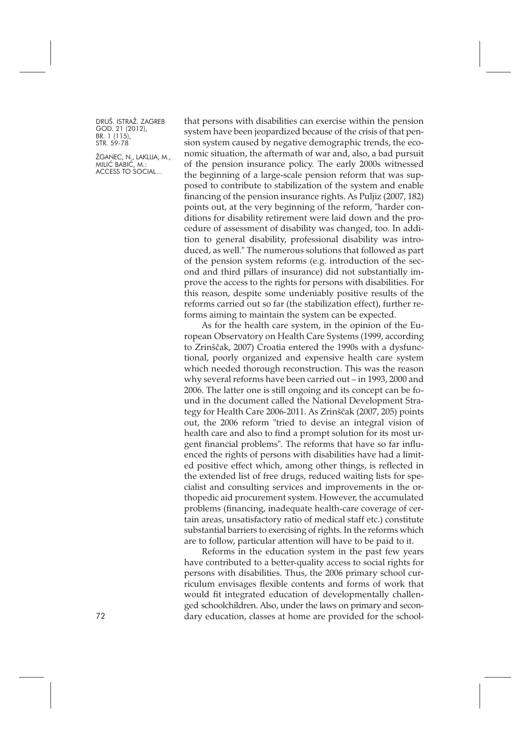ŽGANEC, N., LAKLIJA, M., MILIĆ BABIĆ, M.: ACCESS TO SOCIAL...

that persons with disabilities can exercise within the pension system have been jeopardized because of the crisis of that pension system caused by negative demographic trends, the economic situation, the aftermath of war and, also, a bad pursuit of the pension insurance policy. The early 2000s witnessed the beginning of a large-scale pension reform that was supposed to contribute to stabilization of the system and enable financing of the pension insurance rights. As Puljiz (2007, 182) points out, at the very beginning of the reform, "harder conditions for disability retirement were laid down and the procedure of assessment of disability was changed, too. In addition to general disability, professional disability was introduced, as well." The numerous solutions that followed as part of the pension system reforms (e.g. introduction of the second and third pillars of insurance) did not substantially improve the access to the rights for persons with disabilities. For this reason, despite some undeniably positive results of the reforms carried out so far (the stabilization effect), further reforms aiming to maintain the system can be expected.

As for the health care system, in the opinion of the European Observatory on Health Care Systems (1999, according to Zrinščak, 2007) Croatia entered the 1990s with a dysfunctional, poorly organized and expensive health care system which needed thorough reconstruction. This was the reason why several reforms have been carried out – in 1993, 2000 and 2006. The latter one is still ongoing and its concept can be found in the document called the National Development Strategy for Health Care 2006-2011. As Zrinščak (2007, 205) points out, the 2006 reform "tried to devise an integral vision of health care and also to find a prompt solution for its most urgent financial problems". The reforms that have so far influenced the rights of persons with disabilities have had a limited positive effect which, among other things, is reflected in the extended list of free drugs, reduced waiting lists for specialist and consulting services and improvements in the orthopedic aid procurement system. However, the accumulated problems (financing, inadequate health-care coverage of certain areas, unsatisfactory ratio of medical staff etc.) constitute substantial barriers to exercising of rights. In the reforms which are to follow, particular attention will have to be paid to it.

Reforms in the education system in the past few years have contributed to a better-quality access to social rights for persons with disabilities. Thus, the 2006 primary school curriculum envisages flexible contents and forms of work that would fit integrated education of developmentally challenged schoolchildren. Also, under the laws on primary and secon-72 dary education, classes at home are provided for the school-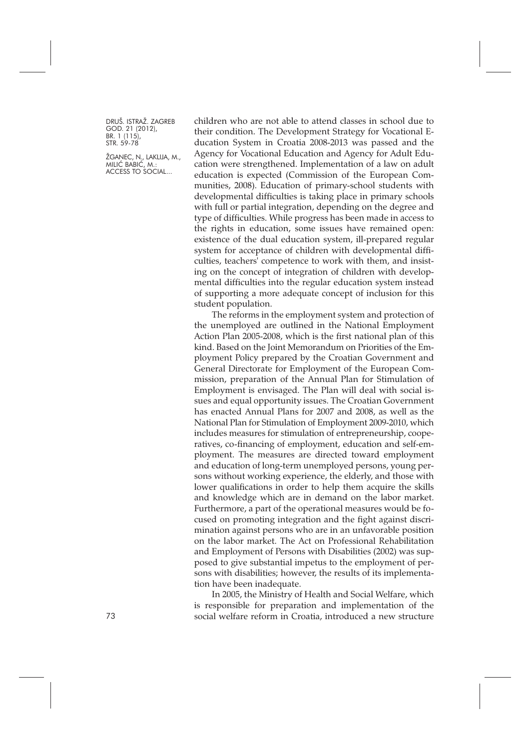ŽGANEC, N., LAKLIJA, M., MILIĆ BABIĆ, M.: ACCESS TO SOCIAL...

children who are not able to attend classes in school due to their condition. The Development Strategy for Vocational Education System in Croatia 2008-2013 was passed and the Agency for Vocational Education and Agency for Adult Education were strengthened. Implementation of a law on adult education is expected (Commission of the European Communities, 2008). Education of primary-school students with developmental difficulties is taking place in primary schools with full or partial integration, depending on the degree and type of difficulties. While progress has been made in access to the rights in education, some issues have remained open: existence of the dual education system, ill-prepared regular system for acceptance of children with developmental difficulties, teachers' competence to work with them, and insisting on the concept of integration of children with developmental difficulties into the regular education system instead of supporting a more adequate concept of inclusion for this student population.

The reforms in the employment system and protection of the unemployed are outlined in the National Employment Action Plan 2005-2008, which is the first national plan of this kind. Based on the Joint Memorandum on Priorities of the Employment Policy prepared by the Croatian Government and General Directorate for Employment of the European Commission, preparation of the Annual Plan for Stimulation of Employment is envisaged. The Plan will deal with social issues and equal opportunity issues. The Croatian Government has enacted Annual Plans for 2007 and 2008, as well as the National Plan for Stimulation of Employment 2009-2010, which includes measures for stimulation of entrepreneurship, cooperatives, co-financing of employment, education and self-employment. The measures are directed toward employment and education of long-term unemployed persons, young persons without working experience, the elderly, and those with lower qualifications in order to help them acquire the skills and knowledge which are in demand on the labor market. Furthermore, a part of the operational measures would be focused on promoting integration and the fight against discrimination against persons who are in an unfavorable position on the labor market. The Act on Professional Rehabilitation and Employment of Persons with Disabilities (2002) was supposed to give substantial impetus to the employment of persons with disabilities; however, the results of its implementation have been inadequate.

In 2005, the Ministry of Health and Social Welfare, which is responsible for preparation and implementation of the 73 social welfare reform in Croatia, introduced a new structure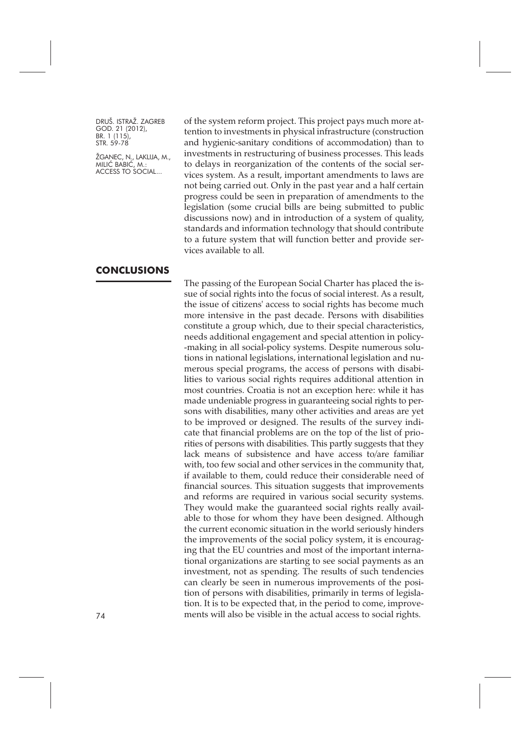ŽGANEC, N., LAKLIJA, M., MILIĆ BABIĆ, M.: ACCESS TO SOCIAL...

of the system reform project. This project pays much more attention to investments in physical infrastructure (construction and hygienic-sanitary conditions of accommodation) than to investments in restructuring of business processes. This leads to delays in reorganization of the contents of the social services system. As a result, important amendments to laws are not being carried out. Only in the past year and a half certain progress could be seen in preparation of amendments to the legislation (some crucial bills are being submitted to public discussions now) and in introduction of a system of quality, standards and information technology that should contribute to a future system that will function better and provide services available to all.

# **CONCLUSIONS**

The passing of the European Social Charter has placed the issue of social rights into the focus of social interest. As a result, the issue of citizens' access to social rights has become much more intensive in the past decade. Persons with disabilities constitute a group which, due to their special characteristics, needs additional engagement and special attention in policy- -making in all social-policy systems. Despite numerous solutions in national legislations, international legislation and numerous special programs, the access of persons with disabilities to various social rights requires additional attention in most countries. Croatia is not an exception here: while it has made undeniable progress in guaranteeing social rights to persons with disabilities, many other activities and areas are yet to be improved or designed. The results of the survey indicate that financial problems are on the top of the list of priorities of persons with disabilities. This partly suggests that they lack means of subsistence and have access to/are familiar with, too few social and other services in the community that, if available to them, could reduce their considerable need of financial sources. This situation suggests that improvements and reforms are required in various social security systems. They would make the guaranteed social rights really available to those for whom they have been designed. Although the current economic situation in the world seriously hinders the improvements of the social policy system, it is encouraging that the EU countries and most of the important international organizations are starting to see social payments as an investment, not as spending. The results of such tendencies can clearly be seen in numerous improvements of the position of persons with disabilities, primarily in terms of legislation. It is to be expected that, in the period to come, improve-74 ments will also be visible in the actual access to social rights.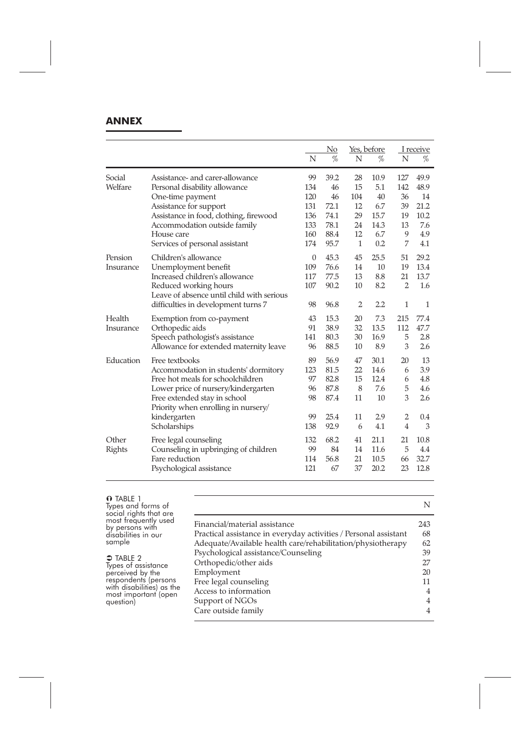# **ANNEX**

|                 |                                           |          | No   | Yes, before    |      | I receive      |      |
|-----------------|-------------------------------------------|----------|------|----------------|------|----------------|------|
|                 |                                           | N        | $\%$ | N              | %    | N              | $\%$ |
| Social          | Assistance- and carer-allowance           | 99       | 39.2 | 28             | 10.9 | 127            | 49.9 |
| Welfare         | Personal disability allowance             | 134      | 46   | 15             | 5.1  | 142            | 48.9 |
|                 | One-time payment                          | 120      | 46   | 104            | 40   | 36             | 14   |
|                 | Assistance for support                    | 131      | 72.1 | 12             | 6.7  | 39             | 21.2 |
|                 | Assistance in food, clothing, firewood    | 136      | 74.1 | 29             | 15.7 | 19             | 10.2 |
|                 | Accommodation outside family              | 133      | 78.1 | 24             | 14.3 | 13             | 7.6  |
|                 | House care                                | 160      | 88.4 | 12             | 6.7  | 9              | 4.9  |
|                 | Services of personal assistant            | 174      | 95.7 | $\mathbf{1}$   | 0.2  | 7              | 4.1  |
| Pension         | Children's allowance                      | $\theta$ | 45.3 | 45             | 25.5 | 51             | 29.2 |
| Insurance       | Unemployment benefit                      | 109      | 76.6 | 14             | 10   | 19             | 13.4 |
|                 | Increased children's allowance            | 117      | 77.5 | 13             | 8.8  | 21             | 13.7 |
|                 | Reduced working hours                     | 107      | 90.2 | 10             | 8.2  | $\overline{2}$ | 1.6  |
|                 | Leave of absence until child with serious |          |      |                |      |                |      |
|                 | difficulties in development turns 7       | 98       | 96.8 | $\overline{2}$ | 2.2  | 1              | 1    |
| Health          | Exemption from co-payment                 | 43       | 15.3 | 20             | 7.3  | 215            | 77.4 |
| Insurance       | Orthopedic aids                           | 91       | 38.9 | 32             | 13.5 | 112            | 47.7 |
|                 | Speech pathologist's assistance           | 141      | 80.3 | 30             | 16.9 | 5              | 2.8  |
|                 | Allowance for extended maternity leave    | 96       | 88.5 | 10             | 8.9  | 3              | 2.6  |
| Education       | Free textbooks                            | 89       | 56.9 | 47             | 30.1 | 20             | 13   |
|                 | Accommodation in students' dormitory      | 123      | 81.5 | 22             | 14.6 | 6              | 3.9  |
|                 | Free hot meals for schoolchildren         | 97       | 82.8 | 15             | 12.4 | 6              | 4.8  |
|                 | Lower price of nursery/kindergarten       | 96       | 87.8 | 8              | 7.6  | 5              | 4.6  |
|                 | Free extended stay in school              | 98       | 87.4 | 11             | 10   | 3              | 2.6  |
|                 | Priority when enrolling in nursery/       |          |      |                |      |                |      |
|                 | kindergarten                              | 99       | 25.4 | 11             | 2.9  | 2              | 0.4  |
|                 | Scholarships                              | 138      | 92.9 | 6              | 4.1  | $\overline{4}$ | 3    |
| Other<br>Rights | Free legal counseling                     | 132      | 68.2 | 41             | 21.1 | 21             | 10.8 |
|                 | Counseling in upbringing of children      | 99       | 84   | 14             | 11.6 | 5              | 4.4  |
|                 | Fare reduction                            | 114      | 56.8 | 21             | 10.5 | 66             | 32.7 |
|                 | Psychological assistance                  | 121      | 67   | 37             | 20.2 | 23             | 12.8 |

| <b>O</b> TABLE 1<br>Types and forms of<br>social rights that are |                                                                                                   | N              |
|------------------------------------------------------------------|---------------------------------------------------------------------------------------------------|----------------|
| most frequently used<br>by persons with<br>disabilities in our   | Financial/material assistance<br>Practical assistance in everyday activities / Personal assistant | 243<br>68      |
| sample                                                           | Adequate/Available health care/rehabilitation/physiotherapy                                       | 62             |
|                                                                  | Psychological assistance/Counseling                                                               | 39             |
| $\supset$ TABLE 2<br>Types of assistance                         | Orthopedic/other aids                                                                             | 27             |
| perceived by the                                                 | Employment                                                                                        | 20             |
| respondents (persons                                             | Free legal counseling                                                                             | 11             |
| with disabilities) as the<br>most important (open                | Access to information                                                                             | 4              |
| question)                                                        | Support of NGOs                                                                                   | 4              |
|                                                                  | Care outside family                                                                               | $\overline{4}$ |
|                                                                  |                                                                                                   |                |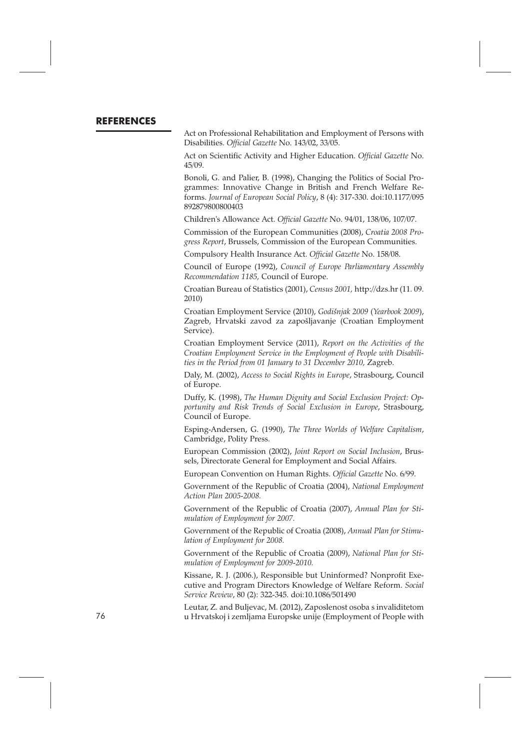## **REFERENCES**

Act on Professional Rehabilitation and Employment of Persons with Disabilities. *Official Gazette* No. 143/02, 33/05.

Act on Scientific Activity and Higher Education. *Official Gazette* No. 45/09.

Bonoli, G. and Palier, B. (1998), Changing the Politics of Social Programmes: Innovative Change in British and French Welfare Reforms. *Journal of European Social Policy*, 8 (4): 317-330. [doi:10.1177/095](http://dx.doi.org/10.1177/095892879800800403) [892879800800403](http://dx.doi.org/10.1177/095892879800800403)

Children's Allowance Act. *Official Gazette* No. 94/01, 138/06, 107/07.

Commission of the European Communities (2008), *Croatia 2008 Progress Report*, Brussels, Commission of the European Communities.

Compulsory Health Insurance Act. *Official Gazette* No. 158/08.

Council of Europe (1992), *Council of Europe Parliamentary Assembly Recommendation 1185,* Council of Europe.

Croatian Bureau of Statistics (2001), *Census 2001,* <http://dzs.hr> (11. 09. [2010\)](http://dzs.hr)

Croatian Employment Service (2010), *Godišnjak 2009* (*Yearbook 2009*), Zagreb, Hrvatski zavod za zapošljavanje (Croatian Employment Service).

Croatian Employment Service (2011), *Report on the Activities of the Croatian Employment Service in the Employment of People with Disabilities in the Period from 01 January to 31 December 2010,* Zagreb.

Daly, M. (2002), *Access to Social Rights in Europe*, Strasbourg, Council of Europe.

Duffy, K. (1998), *The Human Dignity and Social Exclusion Project: Opportunity and Risk Trends of Social Exclusion in Europe*, Strasbourg, Council of Europe.

Esping-Andersen, G. (1990), *The Three Worlds of Welfare Capitalism*, Cambridge, Polity Press.

European Commission (2002), *Joint Report on Social Inclusion*, Brussels, Directorate General for Employment and Social Affairs.

European Convention on Human Rights. *Official Gazette* No. 6/99.

Government of the Republic of Croatia (2004), *National Employment Action Plan 2005-2008.*

Government of the Republic of Croatia (2007), *Annual Plan for Stimulation of Employment for 2007.*

Government of the Republic of Croatia (2008), *Annual Plan for Stimulation of Employment for 2008.*

Government of the Republic of Croatia (2009), *National Plan for Stimulation of Employment for 2009-2010.*

Kissane, R. J. (2006.), Responsible but Uninformed? Nonprofit Executive and Program Directors Knowledge of Welfare Reform. *Social Service Review*, 80 (2): 322-345. [doi:10.1086/501490](http://dx.doi.org/10.1086/501490)

Leutar, Z. and Buljevac, M. (2012), Zaposlenost osoba s invaliditetom 76 u Hrvatskoj i zemljama Europske unije (Employment of People with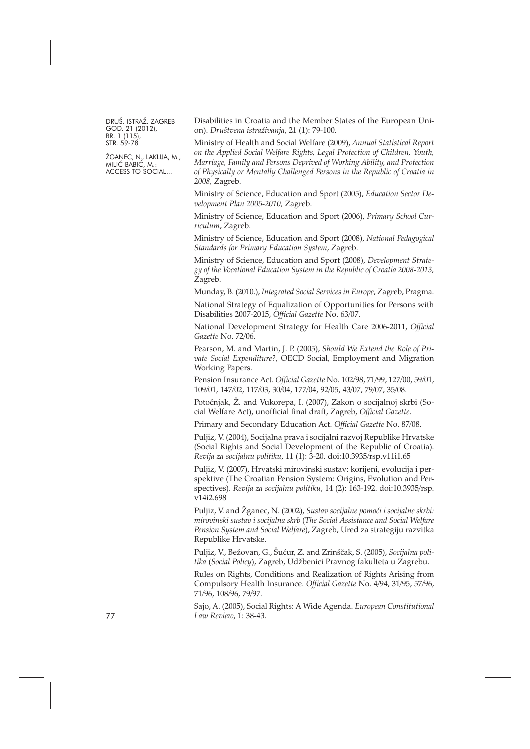ŽGANEC, N., LAKLIJA, M., MILIĆ BABIĆ, M.: ACCESS TO SOCIAL...

Disabilities in Croatia and the Member States of the European Union). *Društvena istraživanja*, 21 (1): 79-100.

Ministry of Health and Social Welfare (2009), *Annual Statistical Report on the Applied Social Welfare Rights, Legal Protection of Children, Youth, Marriage, Family and Persons Deprived of Working Ability, and Protection of Physically or Mentally Challenged Persons in the Republic of Croatia in 2008,* Zagreb.

Ministry of Science, Education and Sport (2005), *Education Sector Development Plan 2005-2010,* Zagreb.

Ministry of Science, Education and Sport (2006), *Primary School Curriculum*, Zagreb.

Ministry of Science, Education and Sport (2008), *National Pedagogical Standards for Primary Education System*, Zagreb.

Ministry of Science, Education and Sport (2008), *Development Strategy of the Vocational Education System in the Republic of Croatia 2008-2013,* Zagreb.

Munday, B. (2010.), *Integrated Social Services in Europe*, Zagreb, Pragma. National Strategy of Equalization of Opportunities for Persons with Disabilities 2007-2015, *Official Gazette* No. 63/07.

National Development Strategy for Health Care 2006-2011, *Official Gazette* No. 72/06.

Pearson, M. and Martin, J. P. (2005), *Should We Extend the Role of Private Social Expenditure?*, OECD Social, Employment and Migration Working Papers.

Pension Insurance Act. *Official Gazette* No. 102/98, 71/99, 127/00, 59/01, 109/01, 147/02, 117/03, 30/04, 177/04, 92/05, 43/07, 79/07, 35/08.

Potočnjak, Ž. and Vukorepa, I. (2007), Zakon o socijalnoj skrbi (Social Welfare Act), unofficial final draft, Zagreb, *Official Gazette*.

Primary and Secondary Education Act. *Official Gazette* No. 87/08.

Puljiz, V. (2004), Socijalna prava i socijalni razvoj Republike Hrvatske (Social Rights and Social Development of the Republic of Croatia). *Revija za socijalnu politiku*, 11 (1): 3-20. [doi:10.3935/rsp.v11i1.65](http://dx.doi.org/10.3935/rsp.v11i1.65)

Puljiz, V. (2007), Hrvatski mirovinski sustav: korijeni, evolucija i perspektive (The Croatian Pension System: Origins, Evolution and Perspectives). *Revija za socijalnu politiku*, 14 (2): 163-192. [doi:10.3935/rsp.](http://dx.doi.org/10.3935/rsp.v14i2.698) [v14i2.698](http://dx.doi.org/10.3935/rsp.v14i2.698)

Puljiz, V. and Žganec, N. (2002), *Sustav socijalne pomoći i socijalne skrbi: mirovinski sustav i socijalna skrb* (*The Social Assistance and Social Welfare Pension System and Social Welfare*), Zagreb, Ured za strategiju razvitka Republike Hrvatske.

Puljiz, V., Bežovan, G., Šućur, Z. and Zrinščak, S. (2005), *Socijalna politika* (*Social Policy*), Zagreb, Udžbenici Pravnog fakulteta u Zagrebu.

Rules on Rights, Conditions and Realization of Rights Arising from Compulsory Health Insurance. *Official Gazette* No. 4/94, 31/95, 57/96, 71/96, 108/96, 79/97.

Sajo, A. (2005), Social Rights: A Wide Agenda. *European Constitutional* 77 *Law Review*, 1: 38-43.